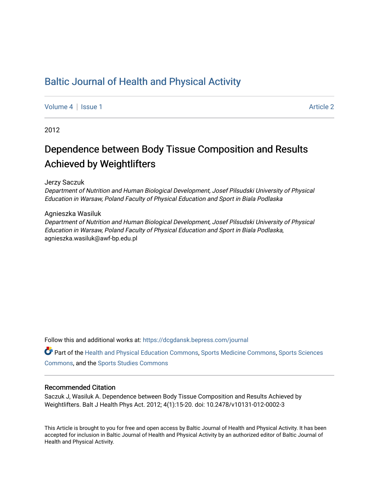## [Baltic Journal of Health and Physical Activity](https://dcgdansk.bepress.com/journal)

[Volume 4](https://dcgdansk.bepress.com/journal/vol4) | [Issue 1](https://dcgdansk.bepress.com/journal/vol4/iss1) Article 2

2012

# Dependence between Body Tissue Composition and Results Achieved by Weightlifters

Jerzy Saczuk

Department of Nutrition and Human Biological Development, Josef Pilsudski University of Physical Education in Warsaw, Poland Faculty of Physical Education and Sport in Biala Podlaska

Agnieszka Wasiluk

Department of Nutrition and Human Biological Development, Josef Pilsudski University of Physical Education in Warsaw, Poland Faculty of Physical Education and Sport in Biala Podlaska, agnieszka.wasiluk@awf-bp.edu.pl

Follow this and additional works at: [https://dcgdansk.bepress.com/journal](https://dcgdansk.bepress.com/journal?utm_source=dcgdansk.bepress.com%2Fjournal%2Fvol4%2Fiss1%2F2&utm_medium=PDF&utm_campaign=PDFCoverPages)

Part of the [Health and Physical Education Commons](http://network.bepress.com/hgg/discipline/1327?utm_source=dcgdansk.bepress.com%2Fjournal%2Fvol4%2Fiss1%2F2&utm_medium=PDF&utm_campaign=PDFCoverPages), [Sports Medicine Commons,](http://network.bepress.com/hgg/discipline/1331?utm_source=dcgdansk.bepress.com%2Fjournal%2Fvol4%2Fiss1%2F2&utm_medium=PDF&utm_campaign=PDFCoverPages) [Sports Sciences](http://network.bepress.com/hgg/discipline/759?utm_source=dcgdansk.bepress.com%2Fjournal%2Fvol4%2Fiss1%2F2&utm_medium=PDF&utm_campaign=PDFCoverPages) [Commons](http://network.bepress.com/hgg/discipline/759?utm_source=dcgdansk.bepress.com%2Fjournal%2Fvol4%2Fiss1%2F2&utm_medium=PDF&utm_campaign=PDFCoverPages), and the [Sports Studies Commons](http://network.bepress.com/hgg/discipline/1198?utm_source=dcgdansk.bepress.com%2Fjournal%2Fvol4%2Fiss1%2F2&utm_medium=PDF&utm_campaign=PDFCoverPages) 

#### Recommended Citation

Saczuk J, Wasiluk A. Dependence between Body Tissue Composition and Results Achieved by Weightlifters. Balt J Health Phys Act. 2012; 4(1):15-20. doi: 10.2478/v10131-012-0002-3

This Article is brought to you for free and open access by Baltic Journal of Health and Physical Activity. It has been accepted for inclusion in Baltic Journal of Health and Physical Activity by an authorized editor of Baltic Journal of Health and Physical Activity.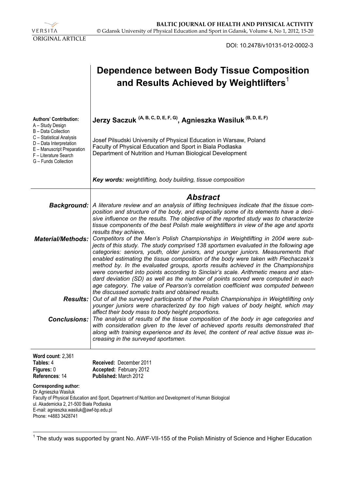

DOI: 10.2478/v10131-012-0002-3

|                                                                                                                                                                                                                                                                     | <b>Dependence between Body Tissue Composition</b><br>and Results Achieved by Weightlifters <sup>1</sup>                                                                                                                                                                                                                                                                                                                                                                                                                                                                                                                                                                                                                                                                                  |  |  |  |  |  |
|---------------------------------------------------------------------------------------------------------------------------------------------------------------------------------------------------------------------------------------------------------------------|------------------------------------------------------------------------------------------------------------------------------------------------------------------------------------------------------------------------------------------------------------------------------------------------------------------------------------------------------------------------------------------------------------------------------------------------------------------------------------------------------------------------------------------------------------------------------------------------------------------------------------------------------------------------------------------------------------------------------------------------------------------------------------------|--|--|--|--|--|
| <b>Authors' Contribution:</b><br>A - Study Design<br>B - Data Collection<br>C - Statistical Analysis<br>D - Data Interpretation<br>E - Manuscript Preparation<br>F - Literature Search<br>G - Funds Collection                                                      | Jerzy Saczuk (A, B, C, D, E, F, G), Agnieszka Wasiluk (B, D, E, F)<br>Josef Pilsudski University of Physical Education in Warsaw, Poland<br>Faculty of Physical Education and Sport in Biala Podlaska<br>Department of Nutrition and Human Biological Development                                                                                                                                                                                                                                                                                                                                                                                                                                                                                                                        |  |  |  |  |  |
|                                                                                                                                                                                                                                                                     | Key words: weightlifting, body building, tissue composition                                                                                                                                                                                                                                                                                                                                                                                                                                                                                                                                                                                                                                                                                                                              |  |  |  |  |  |
| <b>Background:</b>                                                                                                                                                                                                                                                  | <b>Abstract</b><br>A literature review and an analysis of lifting techniques indicate that the tissue com-<br>position and structure of the body, and especially some of its elements have a deci-<br>sive influence on the results. The objective of the reported study was to characterize<br>tissue components of the best Polish male weightlifters in view of the age and sports                                                                                                                                                                                                                                                                                                                                                                                                    |  |  |  |  |  |
| <b>Material/Methods:</b>                                                                                                                                                                                                                                            | results they achieve.<br>Competitors of the Men's Polish Championships in Weightlifting in 2004 were sub-<br>jects of this study. The study comprised 138 sportsmen evaluated in the following age<br>categories: seniors, youth, older juniors, and younger juniors. Measurements that<br>enabled estimating the tissue composition of the body were taken with Piechaczek's<br>method by. In the evaluated groups, sports results achieved in the Championships<br>were converted into points according to Sinclair's scale. Arithmetic means and stan-<br>dard deviation (SD) as well as the number of points scored were computed in each<br>age category. The value of Pearson's correlation coefficient was computed between<br>the discussed somatic traits and obtained results. |  |  |  |  |  |
|                                                                                                                                                                                                                                                                     | <b>Results:</b> Out of all the surveyed participants of the Polish Championships in Weightlifting only<br>younger juniors were characterized by too high values of body height, which may<br>affect their body mass to body height proportions.<br><b>Conclusions:</b> The analysis of results of the tissue composition of the body in age categories and<br>with consideration given to the level of achieved sports results demonstrated that<br>along with training experience and its level, the content of real active tissue was in-<br>creasing in the surveyed sportsmen.                                                                                                                                                                                                       |  |  |  |  |  |
| Word count: 2,361<br>Tables: 4<br>Figures: 0<br>References: 14                                                                                                                                                                                                      | Received: December 2011<br>Accepted: February 2012<br>Published: March 2012                                                                                                                                                                                                                                                                                                                                                                                                                                                                                                                                                                                                                                                                                                              |  |  |  |  |  |
| Corresponding author:<br>Dr Agnieszka Wasiluk<br>Faculty of Physical Education and Sport, Department of Nutrition and Development of Human Biological<br>ul. Akademicka 2, 21-500 Biała Podlaska<br>E-mail: agnieszka.wasiluk@awf-bp.edu.pl<br>Phone: +4883 3428741 |                                                                                                                                                                                                                                                                                                                                                                                                                                                                                                                                                                                                                                                                                                                                                                                          |  |  |  |  |  |

<sup>————————————————————&</sup>lt;br><sup>1</sup> The study was supported by grant No. AWF-VII-155 of the Polish Ministry of Science and Higher Education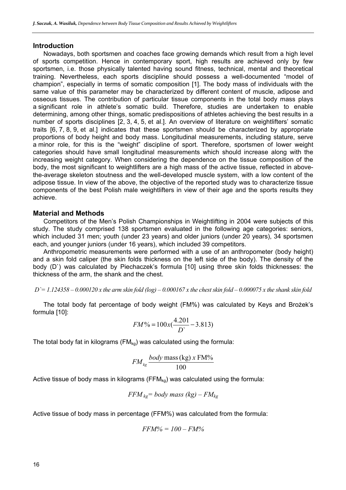#### **Introduction**

Nowadays, both sportsmen and coaches face growing demands which result from a high level of sports competition. Hence in contemporary sport, high results are achieved only by few sportsmen, i.e. those physically talented having sound fitness, technical, mental and theoretical training. Nevertheless, each sports discipline should possess a well-documented "model of champion", especially in terms of somatic composition [1]. The body mass of individuals with the same value of this parameter may be characterized by different content of muscle, adipose and osseous tissues. The contribution of particular tissue components in the total body mass plays a significant role in athlete's somatic build. Therefore, studies are undertaken to enable determining, among other things, somatic predispositions of athletes achieving the best results in a number of sports disciplines [2, 3, 4, 5, et al.]. An overview of literature on weightlifters' somatic traits [6, 7, 8, 9, et al.] indicates that these sportsmen should be characterized by appropriate proportions of body height and body mass. Longitudinal measurements, including stature, serve a minor role, for this is the "weight" discipline of sport. Therefore, sportsmen of lower weight categories should have small longitudinal measurements which should increase along with the increasing weight category. When considering the dependence on the tissue composition of the body, the most significant to weightlifters are a high mass of the active tissue, reflected in abovethe-average skeleton stoutness and the well-developed muscle system, with a low content of the adipose tissue. In view of the above, the objective of the reported study was to characterize tissue components of the best Polish male weightlifters in view of their age and the sports results they achieve.

#### **Material and Methods**

Competitors of the Men's Polish Championships in Weightlifting in 2004 were subjects of this study. The study comprised 138 sportsmen evaluated in the following age categories: seniors, which included 31 men; youth (under 23 years) and older juniors (under 20 years), 34 sportsmen each, and younger juniors (under 16 years), which included 39 competitors.

Anthropometric measurements were performed with a use of an anthropometer (body height) and a skin fold caliper (the skin folds thickness on the left side of the body). The density of the body (D`) was calculated by Piechaczek's formula [10] using three skin folds thicknesses: the thickness of the arm, the shank and the chest.

$$
D = 1.124358 - 0.000120
$$
 x the arm skin fold (log) – 0.000167 x the chest skin fold – 0.000075 x the shank skin fold

The total body fat percentage of body weight (FM%) was calculated by Keys and Brożek's formula [10]:

$$
FM\% = 100x(\frac{4.201}{D} - 3.813)
$$

The total body fat in kilograms ( $FM_{kq}$ ) was calculated using the formula:

$$
FM_{kg} \frac{body \text{ mass (kg) } x \text{ FM\%}}{100}
$$

Active tissue of body mass in kilograms ( $FFM_{kq}$ ) was calculated using the formula:

$$
FFM_{kg} = body \; mass \; (kg) - FM_{kg}
$$

Active tissue of body mass in percentage (FFM%) was calculated from the formula:

$$
FFM\% = 100 - FM\%
$$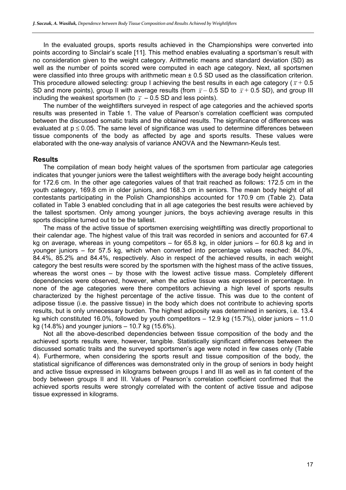In the evaluated groups, sports results achieved in the Championships were converted into points according to Sinclair's scale [11]. This method enables evaluating a sportsman's result with no consideration given to the weight category. Arithmetic means and standard deviation (SD) as well as the number of points scored were computed in each age category. Next, all sportsmen were classified into three groups with arithmetic mean  $\pm$  0.5 SD used as the classification criterion. This procedure allowed selecting: group I achieving the best results in each age category ( $\bar{x}$  + 0.5) SD and more points), group II with average results (from  $\bar{x}$  – 0.5 SD to  $\bar{x}$  + 0.5 SD), and group III including the weakest sportsmen (to  $\bar{x}$  – 0.5 SD and less points).

The number of the weightlifters surveyed in respect of age categories and the achieved sports results was presented in Table 1. The value of Pearson's correlation coefficient was computed between the discussed somatic traits and the obtained results. The significance of differences was evaluated at  $p \le 0.05$ . The same level of significance was used to determine differences between tissue components of the body as affected by age and sports results. These values were elaborated with the one-way analysis of variance ANOVA and the Newmann-Keuls test.

#### **Results**

The compilation of mean body height values of the sportsmen from particular age categories indicates that younger juniors were the tallest weightlifters with the average body height accounting for 172.6 cm. In the other age categories values of that trait reached as follows: 172.5 cm in the youth category, 169.8 cm in older juniors, and 168.3 cm in seniors. The mean body height of all contestants participating in the Polish Championships accounted for 170.9 cm (Table 2). Data collated in Table 3 enabled concluding that in all age categories the best results were achieved by the tallest sportsmen. Only among younger juniors, the boys achieving average results in this sports discipline turned out to be the tallest.

The mass of the active tissue of sportsmen exercising weightlifting was directly proportional to their calendar age. The highest value of this trait was recorded in seniors and accounted for 67.4 kg on average, whereas in young competitors – for 65.8 kg, in older juniors – for 60.8 kg and in younger juniors – for 57.5 kg, which when converted into percentage values reached: 84.0%, 84.4%, 85.2% and 84.4%, respectively. Also in respect of the achieved results, in each weight category the best results were scored by the sportsmen with the highest mass of the active tissues, whereas the worst ones – by those with the lowest active tissue mass. Completely different dependencies were observed, however, when the active tissue was expressed in percentage. In none of the age categories were there competitors achieving a high level of sports results characterized by the highest percentage of the active tissue. This was due to the content of adipose tissue (i.e. the passive tissue) in the body which does not contribute to achieving sports results, but is only unnecessary burden. The highest adiposity was determined in seniors, i.e. 13.4 kg which constituted 16.0%, followed by youth competitors – 12.9 kg (15.7%), older juniors – 11.0 kg (14.8%) and younger juniors – 10.7 kg (15.6%).

Not all the above-described dependencies between tissue composition of the body and the achieved sports results were, however, tangible. Statistically significant differences between the discussed somatic traits and the surveyed sportsmen's age were noted in few cases only (Table 4). Furthermore, when considering the sports result and tissue composition of the body, the statistical significance of differences was demonstrated only in the group of seniors in body height and active tissue expressed in kilograms between groups I and III as well as in fat content of the body between groups II and III. Values of Pearson's correlation coefficient confirmed that the achieved sports results were strongly correlated with the content of active tissue and adipose tissue expressed in kilograms.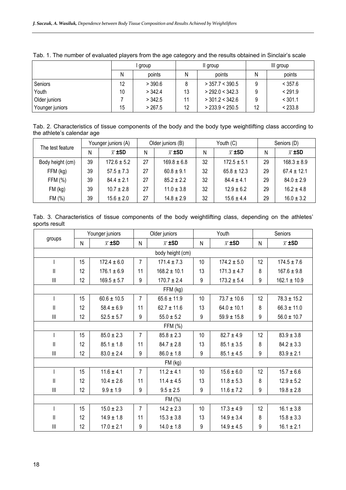|                 |    | group   |    | II group          | III group |         |  |
|-----------------|----|---------|----|-------------------|-----------|---------|--|
|                 | N  | points  | Ν  | points            | Ν         | points  |  |
| Seniors         | 12 | > 390.6 |    | $>$ 357.7 < 390.5 | 9         | < 357.6 |  |
| Youth           | 10 | > 342.4 | 13 | > 292.0 < 342.3   | 9         | < 291.9 |  |
| Older juniors   |    | > 342.5 |    | $>$ 301.2 < 342.6 | 9         | < 301.1 |  |
| Younger juniors | 15 | > 267.5 | 12 | > 233.9 < 250.5   | 12        | < 233.8 |  |

Tab. 1. The number of evaluated players from the age category and the results obtained in Sinclair's scale

Tab. 2. Characteristics of tissue components of the body and the body type weightlifting class according to the athlete's calendar age

| The test feature | Younger juniors (A) |                    | Older juniors (B) |                    | Youth (C) |                    | Seniors (D) |                    |
|------------------|---------------------|--------------------|-------------------|--------------------|-----------|--------------------|-------------|--------------------|
|                  | Ν                   | $\overline{x}$ ±SD | N                 | $\overline{x}$ ±SD | Ν         | $\overline{x}$ ±SD | N           | $\overline{x}$ ±SD |
| Body height (cm) | 39                  | $172.6 \pm 5.2$    | 27                | $169.8 \pm 6.8$    | 32        | $172.5 \pm 5.1$    | 29          | $168.3 \pm 8.9$    |
| FFM (kg)         | 39                  | $57.5 \pm 7.3$     | 27                | $60.8 \pm 9.1$     | 32        | $65.8 \pm 12.3$    | 29          | $67.4 \pm 12.1$    |
| FFM (%)          | 39                  | $844 + 21$         | 27                | $85.2 \pm 2.2$     | 32        | $84.4 + 4.1$       | 29          | $84.0 \pm 2.9$     |
| FM (kg)          | 39                  | $10.7 \pm 2.8$     | 27                | $11.0 \pm 3.8$     | 32        | $12.9 \pm 6.2$     | 29          | $16.2 \pm 4.8$     |
| FM (%)           | 39                  | $15.6 \pm 2.0$     | 27                | $14.8 \pm 2.9$     | 32        | $15.6 \pm 4.4$     | 29          | $16.0 \pm 3.2$     |

Tab. 3. Characteristics of tissue components of the body weightlifting class, depending on the athletes' sports result

|                                       | Younger juniors |                    | Older juniors  |                    | Youth     |                    | Seniors |                    |  |
|---------------------------------------|-----------------|--------------------|----------------|--------------------|-----------|--------------------|---------|--------------------|--|
| groups                                | N               | $\overline{x}$ ±SD | N              | $\overline{x}$ ±SD | ${\sf N}$ | $\overline{x}$ ±SD | N       | $\overline{x}$ ±SD |  |
| body height (cm)                      |                 |                    |                |                    |           |                    |         |                    |  |
|                                       | 15              | $172.4 \pm 6.0$    | 7              | $171.4 \pm 7.3$    | 10        | $174.2 \pm 5.0$    | 12      | $174.5 \pm 7.6$    |  |
| $\mathsf{I}$                          | 12              | $176.1 \pm 6.9$    | 11             | $168.2 \pm 10.1$   | 13        | $171.3 \pm 4.7$    | 8       | $167.6 \pm 9.8$    |  |
| $\begin{array}{c} \hline \end{array}$ | 12              | $169.5 \pm 5.7$    | 9              | $170.7 \pm 2.4$    | 9         | $173.2 \pm 5.4$    | 9       | $162.1 \pm 10.9$   |  |
|                                       |                 |                    |                | FFM (kg)           |           |                    |         |                    |  |
| $\mathsf{I}$                          | 15              | $60.6 \pm 10.5$    | $\overline{7}$ | $65.6 \pm 11.9$    | 10        | $73.7 \pm 10.6$    | 12      | $78.3 \pm 15.2$    |  |
| $\mathbf{I}$                          | 12              | $58.4 \pm 6.9$     | 11             | $62.7 \pm 11.6$    | 13        | $64.0 \pm 10.1$    | 8       | $66.3 \pm 11.0$    |  |
| $\begin{array}{c} \hline \end{array}$ | 12              | $52.5 \pm 5.7$     | 9              | $55.0 \pm 5.2$     | 9         | $59.9 \pm 15.8$    | 9       | $56.0 \pm 10.7$    |  |
|                                       |                 |                    |                | FFM (%)            |           |                    |         |                    |  |
| $\overline{1}$                        | 15              | $85.0 \pm 2.3$     | $\overline{7}$ | $85.8 \pm 2.3$     | 10        | $82.7 \pm 4.9$     | 12      | $83.9 \pm 3.8$     |  |
| $\mathsf{II}$                         | 12              | $85.1 \pm 1.8$     | 11             | $84.7 \pm 2.8$     | 13        | $85.1 \pm 3.5$     | 8       | $84.2 \pm 3.3$     |  |
| $\begin{array}{c} \hline \end{array}$ | 12              | $83.0 \pm 2.4$     | 9              | $86.0 \pm 1.8$     | 9         | $85.1 \pm 4.5$     | 9       | $83.9 \pm 2.1$     |  |
|                                       |                 |                    |                | FM (kg)            |           |                    |         |                    |  |
| $\mathsf{I}$                          | 15              | $11.6 \pm 4.1$     | $\overline{7}$ | $11.2 \pm 4.1$     | 10        | $15.6 \pm 6.0$     | 12      | $15.7 \pm 6.6$     |  |
| $\mathbf{  }$                         | 12              | $10.4 \pm 2.6$     | 11             | $11.4 \pm 4.5$     | 13        | $11.8 \pm 5.3$     | 8       | $12.9 \pm 5.2$     |  |
| $\begin{array}{c} \hline \end{array}$ | 12              | $9.9 \pm 1.9$      | 9              | $9.5 \pm 2.5$      | 9         | $11.6 \pm 7.2$     | 9       | $19.8 \pm 2.8$     |  |
| FM (%)                                |                 |                    |                |                    |           |                    |         |                    |  |
| $\overline{1}$                        | 15              | $15.0 \pm 2.3$     | $\overline{7}$ | $14.2 \pm 2.3$     | 10        | $17.3 \pm 4.9$     | 12      | $16.1 \pm 3.8$     |  |
| $\mathbf{I}$                          | 12              | $14.9 \pm 1.8$     | 11             | $15.3 \pm 3.8$     | 13        | $14.9 \pm 3.4$     | 8       | $15.8 \pm 3.3$     |  |
| $\begin{array}{c} \hline \end{array}$ | 12              | $17.0 \pm 2.1$     | 9              | $14.0 \pm 1.8$     | 9         | $14.9 \pm 4.5$     | 9       | $16.1 \pm 2.1$     |  |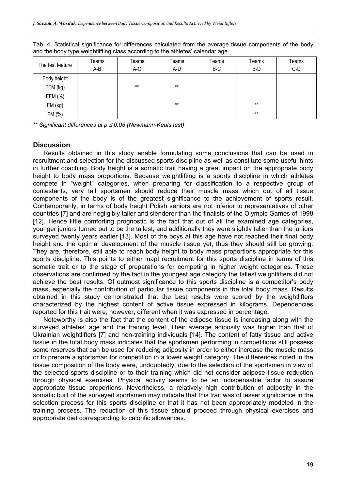| The test feature | Teams<br>A-B | Teams<br>A-C | Teams<br>A-D | Teams<br>B-C | Teams<br>B-D | Teams<br>$C-D$ |
|------------------|--------------|--------------|--------------|--------------|--------------|----------------|
| Body height      |              |              |              |              |              |                |
| FFM (kg)         |              | $***$        | $***$        |              |              |                |
| FFM (%)          |              |              |              |              |              |                |
| FM (kg)          |              |              | $***$        |              | $***$        |                |
| FM (%)           |              |              |              |              | $***$        |                |

Tab. 4. Statistical significance for differences calculated from the average tissue components of the body and the body type weightlifting class according to the athletes' calendar age

*\*\* Significant differences at p* ≤ *0.05 (Newmann-Keuls test)* 

#### **Discussion**

Results obtained in this study enable formulating some conclusions that can be used in recruitment and selection for the discussed sports discipline as well as constitute some useful hints in further coaching. Body height is a somatic trait having a great impact on the appropriate body height to body mass proportions. Because weightlifting is a sports discipline in which athletes compete in "weight" categories, when preparing for classification to a respective group of contestants, very tall sportsmen should reduce their muscle mass which out of all tissue components of the body is of the greatest significance to the achievement of sports result. Contemporarily, in terms of body height Polish seniors are not inferior to representatives of other countries [7] and are negligibly taller and slenderer than the finalists of the Olympic Games of 1998 [12]. Hence little comforting prognostic is the fact that out of all the examined age categories, younger juniors turned out to be the tallest, and additionally they were slightly taller than the juniors surveyed twenty years earlier [13]. Most of the boys at this age have not reached their final body height and the optimal development of the muscle tissue yet, thus they should still be growing. They are, therefore, still able to reach body height to body mass proportions appropriate for this sports discipline. This points to either inapt recruitment for this sports discipline in terms of this somatic trait or to the stage of preparations for competing in higher weight categories. These observations are confirmed by the fact in the youngest age category the tallest weightlifters did not achieve the best results. Of outmost significance to this sports discipline is a competitor's body mass, especially the contribution of particular tissue components in the total body mass. Results obtained in this study demonstrated that the best results were scored by the weightlifters characterized by the highest content of active tissue expressed in kilograms. Dependencies reported for this trait were, however, different when it was expressed in percentage.

Noteworthy is also the fact that the content of the adipose tissue is increasing along with the surveyed athletes' age and the training level. Their average adiposity was higher than that of Ukrainian weightlifters [7] and non-training individuals [14]. The content of fatty tissue and active tissue in the total body mass indicates that the sportsmen performing in competitions still possess some reserves that can be used for reducing adiposity in order to either increase the muscle mass or to prepare a sportsman for competition in a lower weight category. The differences noted in the tissue composition of the body were, undoubtedly, due to the selection of the sportsmen in view of the selected sports discipline or to their training which did not consider adipose tissue reduction through physical exercises. Physical activity seems to be an indispensable factor to assure appropriate tissue proportions. Nevertheless, a relatively high contribution of adiposity in the somatic built of the surveyed sportsmen may indicate that this trait was of lesser significance in the selection process for this sports discipline or that it has not been appropriately modeled in the training process. The reduction of this tissue should proceed through physical exercises and appropriate diet corresponding to calorific allowances.